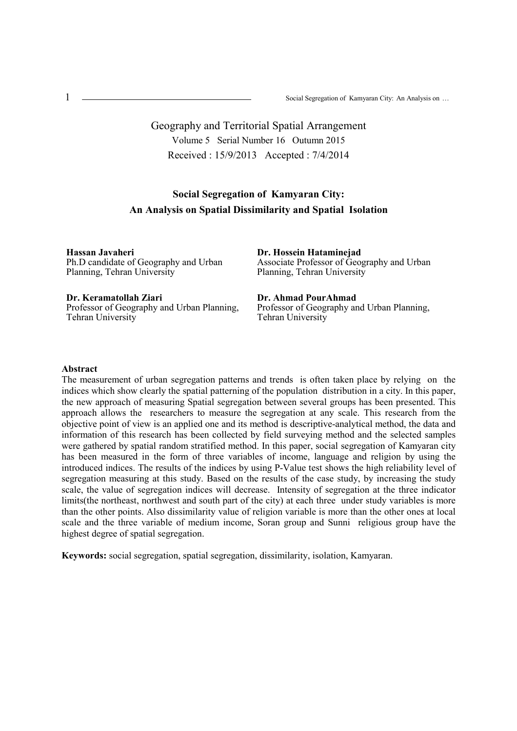# Geography and Territorial Spatial Arrangement Volume 5 Serial Number 16 Outumn 2015 Received : 15/9/2013 Accepted : 7/4/2014

# **Social Segregation of Kamyaran City: An Analysis on Spatial Dissimilarity and Spatial Isolation**

**Hassan Javaheri** Ph.D candidate of Geography and Urban Planning, Tehran University

**Dr. Keramatollah Ziari** Professor of Geography and Urban Planning, Tehran University

**Dr. Hossein Hataminejad** Associate Professor of Geography and Urban Planning, Tehran University

**Dr. Ahmad PourAhmad** Professor of Geography and Urban Planning, Tehran University

#### **Abstract**

The measurement of urban segregation patterns and trends is often taken place by relying on the indices which show clearly the spatial patterning of the population distribution in a city. In this paper, the new approach of measuring Spatial segregation between several groups has been presented. This approach allows the researchers to measure the segregation at any scale. This research from the objective point of view is an applied one and its method is descriptive-analytical method, the data and information of this research has been collected by field surveying method and the selected samples were gathered by spatial random stratified method. In this paper, social segregation of Kamyaran city has been measured in the form of three variables of income, language and religion by using the introduced indices. The results of the indices by using P-Value test shows the high reliability level of segregation measuring at this study. Based on the results of the case study, by increasing the study scale, the value of segregation indices will decrease. Intensity of segregation at the three indicator limits(the northeast, northwest and south part of the city) at each three under study variables is more than the other points. Also dissimilarity value of religion variable is more than the other ones at local scale and the three variable of medium income, Soran group and Sunni religious group have the highest degree of spatial segregation.

**Keywords:** social segregation, spatial segregation, dissimilarity, isolation, Kamyaran.

1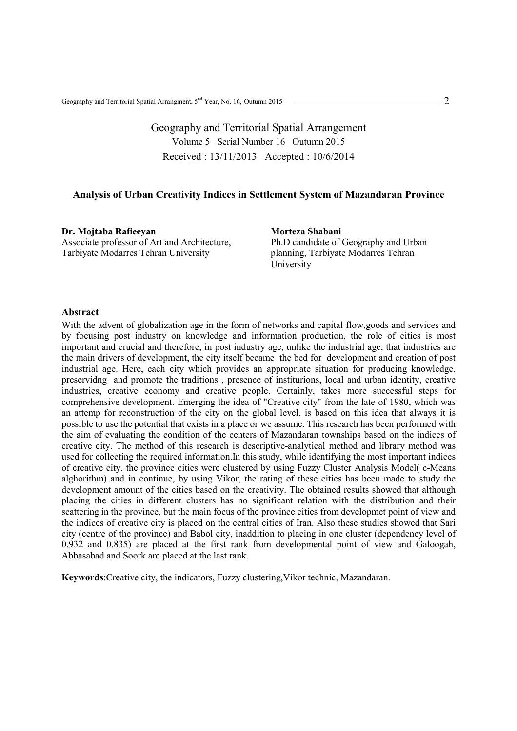Geography and Territorial Spatial Arrangement Volume 5 Serial Number 16 Outumn 2015 Received : 13/11/2013 Accepted : 10/6/2014

### **Analysis of Urban Creativity Indices in Settlement System of Mazandaran Province**

**Dr. Mojtaba Rafieeyan**  Associate professor of Art and Architecture, Tarbiyate Modarres Tehran University

**Morteza Shabani** 

Ph.D candidate of Geography and Urban planning, Tarbiyate Modarres Tehran **University** 

### **Abstract**

With the advent of globalization age in the form of networks and capital flow,goods and services and by focusing post industry on knowledge and information production, the role of cities is most important and crucial and therefore, in post industry age, unlike the industrial age, that industries are the main drivers of development, the city itself became the bed for development and creation of post industrial age. Here, each city which provides an appropriate situation for producing knowledge, preservidng and promote the traditions , presence of institurions, local and urban identity, creative industries, creative economy and creative people. Certainly, takes more successful steps for comprehensive development. Emerging the idea of "Creative city" from the late of 1980, which was an attemp for reconstruction of the city on the global level, is based on this idea that always it is possible to use the potential that exists in a place or we assume. This research has been performed with the aim of evaluating the condition of the centers of Mazandaran townships based on the indices of creative city. The method of this research is descriptive-analytical method and library method was used for collecting the required information.In this study, while identifying the most important indices of creative city, the province cities were clustered by using Fuzzy Cluster Analysis Model( c-Means alghorithm) and in continue, by using Vikor, the rating of these cities has been made to study the development amount of the cities based on the creativity. The obtained results showed that although placing the cities in different clusters has no significant relation with the distribution and their scattering in the province, but the main focus of the province cities from developmet point of view and the indices of creative city is placed on the central cities of Iran. Also these studies showed that Sari city (centre of the province) and Babol city, inaddition to placing in one cluster (dependency level of 0.932 and 0.835) are placed at the first rank from developmental point of view and Galoogah, Abbasabad and Soork are placed at the last rank.

**Keywords**:Creative city, the indicators, Fuzzy clustering,Vikor technic, Mazandaran.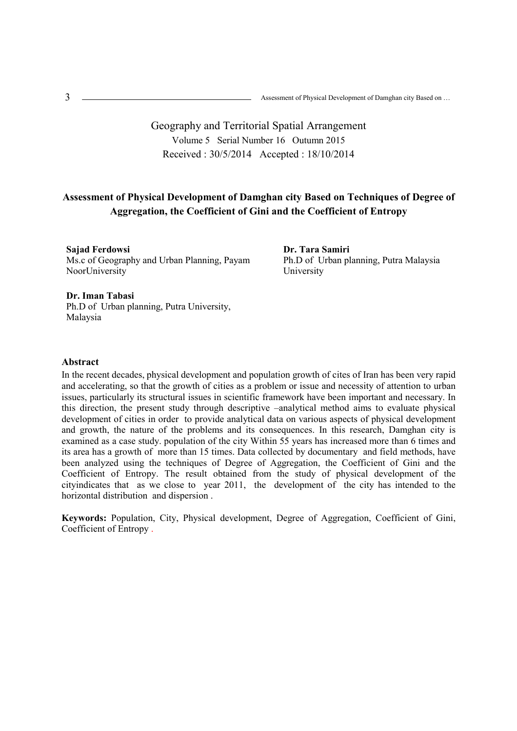# Geography and Territorial Spatial Arrangement Volume 5 Serial Number 16 Outumn 2015 Received : 30/5/2014 Accepted : 18/10/2014

## **Assessment of Physical Development of Damghan city Based on Techniques of Degree of Aggregation, the Coefficient of Gini and the Coefficient of Entropy**

**Sajad Ferdowsi**  Ms.c of Geography and Urban Planning, Payam NoorUniversity

**Dr. Tara Samiri**  Ph.D of Urban planning, Putra Malaysia University

### **Dr. Iman Tabasi**

Ph.D of Urban planning, Putra University, Malaysia

### **Abstract**

In the recent decades, physical development and population growth of cites of Iran has been very rapid and accelerating, so that the growth of cities as a problem or issue and necessity of attention to urban issues, particularly its structural issues in scientific framework have been important and necessary. In this direction, the present study through descriptive –analytical method aims to evaluate physical development of cities in order to provide analytical data on various aspects of physical development and growth, the nature of the problems and its consequences. In this research, Damghan city is examined as a case study. population of the city Within 55 years has increased more than 6 times and its area has a growth of more than 15 times. Data collected by documentary and field methods, have been analyzed using the techniques of Degree of Aggregation, the Coefficient of Gini and the Coefficient of Entropy. The result obtained from the study of physical development of the cityindicates that as we close to year 2011, the development of the city has intended to the horizontal distribution and dispersion .

**Keywords:** Population, City, Physical development, Degree of Aggregation, Coefficient of Gini, Coefficient of Entropy .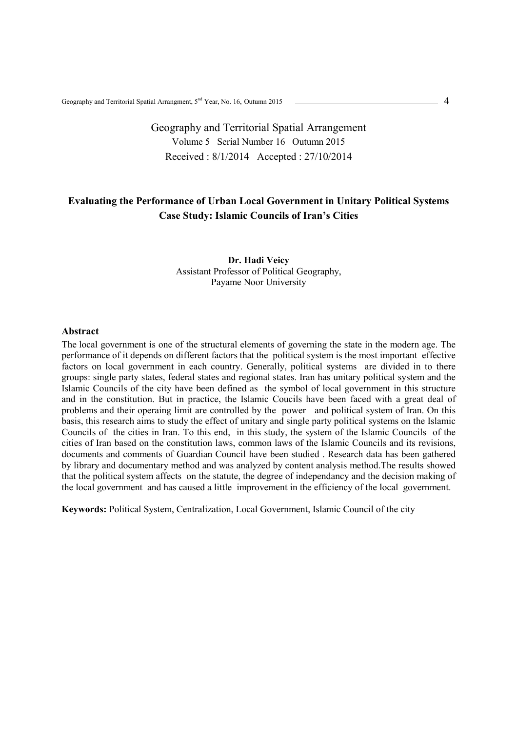# Geography and Territorial Spatial Arrangement Volume 5 Serial Number 16 Outumn 2015 Received : 8/1/2014 Accepted : 27/10/2014

## **Evaluating the Performance of Urban Local Government in Unitary Political Systems Case Study: Islamic Councils of Iran's Cities**

### **Dr. Hadi Veicy**  Assistant Professor of Political Geography, Payame Noor University

#### **Abstract**

The local government is one of the structural elements of governing the state in the modern age. The performance of it depends on different factors that the political system is the most important effective factors on local government in each country. Generally, political systems are divided in to there groups: single party states, federal states and regional states. Iran has unitary political system and the Islamic Councils of the city have been defined as the symbol of local government in this structure and in the constitution. But in practice, the Islamic Coucils have been faced with a great deal of problems and their operaing limit are controlled by the power and political system of Iran. On this basis, this research aims to study the effect of unitary and single party political systems on the Islamic Councils of the cities in Iran. To this end, in this study, the system of the Islamic Councils of the cities of Iran based on the constitution laws, common laws of the Islamic Councils and its revisions, documents and comments of Guardian Council have been studied . Research data has been gathered by library and documentary method and was analyzed by content analysis method.The results showed that the political system affects on the statute, the degree of independancy and the decision making of the local government and has caused a little improvement in the efficiency of the local government.

**Keywords:** Political System, Centralization, Local Government, Islamic Council of the city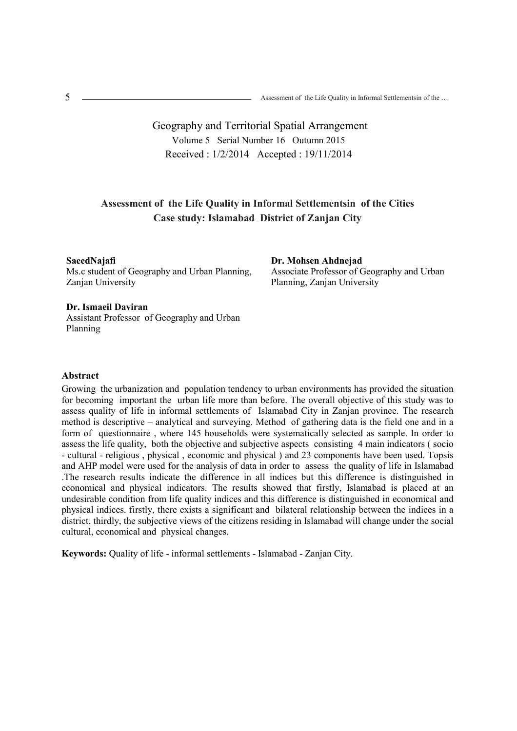# Geography and Territorial Spatial Arrangement Volume 5 Serial Number 16 Outumn 2015 Received : 1/2/2014 Accepted : 19/11/2014

## **Assessment of the Life Quality in Informal Settlementsin of the Cities Case study: Islamabad District of Zanjan City**

**SaeedNajafi** 

Ms.c student of Geography and Urban Planning, Zanjan University

**Dr. Mohsen Ahdnejad**  Associate Professor of Geography and Urban Planning, Zanjan University

### **Dr. Ismaeil Daviran**

Assistant Professor of Geography and Urban Planning

### **Abstract**

Growing the urbanization and population tendency to urban environments has provided the situation for becoming important the urban life more than before. The overall objective of this study was to assess quality of life in informal settlements of Islamabad City in Zanjan province. The research method is descriptive – analytical and surveying. Method of gathering data is the field one and in a form of questionnaire , where 145 households were systematically selected as sample. In order to assess the life quality, both the objective and subjective aspects consisting 4 main indicators ( socio - cultural - religious , physical , economic and physical ) and 23 components have been used. Topsis and AHP model were used for the analysis of data in order to assess the quality of life in Islamabad .The research results indicate the difference in all indices but this difference is distinguished in economical and physical indicators. The results showed that firstly, Islamabad is placed at an undesirable condition from life quality indices and this difference is distinguished in economical and physical indices. firstly, there exists a significant and bilateral relationship between the indices in a district. thirdly, the subjective views of the citizens residing in Islamabad will change under the social cultural, economical and physical changes.

**Keywords:** Quality of life - informal settlements - Islamabad - Zanjan City.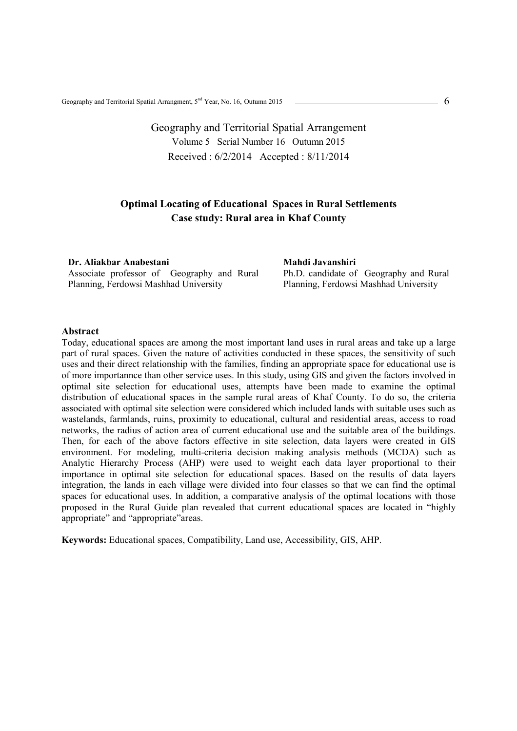# Geography and Territorial Spatial Arrangement Volume 5 Serial Number 16 Outumn 2015 Received : 6/2/2014 Accepted : 8/11/2014

## **Optimal Locating of Educational Spaces in Rural Settlements Case study: Rural area in Khaf County**

**Dr. Aliakbar Anabestani**  Associate professor of Geography and Rural Planning, Ferdowsi Mashhad University

**Mahdi Javanshiri**  Ph.D. candidate of Geography and Rural Planning, Ferdowsi Mashhad University

#### **Abstract**

Today, educational spaces are among the most important land uses in rural areas and take up a large part of rural spaces. Given the nature of activities conducted in these spaces, the sensitivity of such uses and their direct relationship with the families, finding an appropriate space for educational use is of more importannce than other service uses. In this study, using GIS and given the factors involved in optimal site selection for educational uses, attempts have been made to examine the optimal distribution of educational spaces in the sample rural areas of Khaf County. To do so, the criteria associated with optimal site selection were considered which included lands with suitable uses such as wastelands, farmlands, ruins, proximity to educational, cultural and residential areas, access to road networks, the radius of action area of current educational use and the suitable area of the buildings. Then, for each of the above factors effective in site selection, data layers were created in GIS environment. For modeling, multi-criteria decision making analysis methods (MCDA) such as Analytic Hierarchy Process (AHP) were used to weight each data layer proportional to their importance in optimal site selection for educational spaces. Based on the results of data layers integration, the lands in each village were divided into four classes so that we can find the optimal spaces for educational uses. In addition, a comparative analysis of the optimal locations with those proposed in the Rural Guide plan revealed that current educational spaces are located in "highly appropriate" and "appropriate"areas.

**Keywords:** Educational spaces, Compatibility, Land use, Accessibility, GIS, AHP.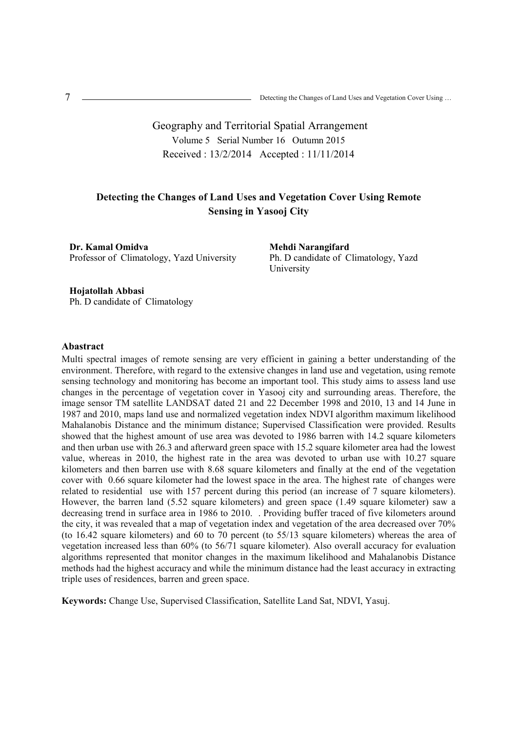# Geography and Territorial Spatial Arrangement Volume 5 Serial Number 16 Outumn 2015 Received : 13/2/2014 Accepted : 11/11/2014

## **Detecting the Changes of Land Uses and Vegetation Cover Using Remote Sensing in Yasooj City**

**Dr. Kamal Omidva**  Professor of Climatology, Yazd University **Mehdi Narangifard**  Ph. D candidate of Climatology, Yazd University

**Hojatollah Abbasi**  Ph. D candidate of Climatology

### **Abastract**

Multi spectral images of remote sensing are very efficient in gaining a better understanding of the environment. Therefore, with regard to the extensive changes in land use and vegetation, using remote sensing technology and monitoring has become an important tool. This study aims to assess land use changes in the percentage of vegetation cover in Yasooj city and surrounding areas. Therefore, the image sensor TM satellite LANDSAT dated 21 and 22 December 1998 and 2010, 13 and 14 June in 1987 and 2010, maps land use and normalized vegetation index NDVI algorithm maximum likelihood Mahalanobis Distance and the minimum distance; Supervised Classification were provided. Results showed that the highest amount of use area was devoted to 1986 barren with 14.2 square kilometers and then urban use with 26.3 and afterward green space with 15.2 square kilometer area had the lowest value, whereas in 2010, the highest rate in the area was devoted to urban use with 10.27 square kilometers and then barren use with 8.68 square kilometers and finally at the end of the vegetation cover with 0.66 square kilometer had the lowest space in the area. The highest rate of changes were related to residential use with 157 percent during this period (an increase of 7 square kilometers). However, the barren land (5.52 square kilometers) and green space (1.49 square kilometer) saw a decreasing trend in surface area in 1986 to 2010. . Providing buffer traced of five kilometers around the city, it was revealed that a map of vegetation index and vegetation of the area decreased over 70% (to 16.42 square kilometers) and 60 to 70 percent (to 55/13 square kilometers) whereas the area of vegetation increased less than 60% (to 56/71 square kilometer). Also overall accuracy for evaluation algorithms represented that monitor changes in the maximum likelihood and Mahalanobis Distance methods had the highest accuracy and while the minimum distance had the least accuracy in extracting triple uses of residences, barren and green space.

**Keywords:** Change Use, Supervised Classification, Satellite Land Sat, NDVI, Yasuj.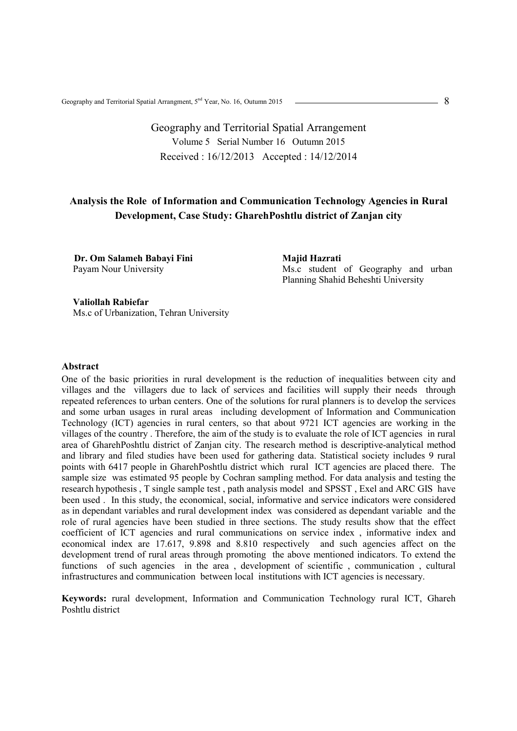# Geography and Territorial Spatial Arrangement Volume 5 Serial Number 16 Outumn 2015 Received : 16/12/2013 Accepted : 14/12/2014

# **Analysis the Role of Information and Communication Technology Agencies in Rural Development, Case Study: GharehPoshtlu district of Zanjan city**

**Dr. Om Salameh Babayi Fini** Payam Nour University

**Majid Hazrati**  Ms.c student of Geography and urban Planning Shahid Beheshti University

#### **Valiollah Rabiefar**

Ms.c of Urbanization, Tehran University

### **Abstract**

One of the basic priorities in rural development is the reduction of inequalities between city and villages and the villagers due to lack of services and facilities will supply their needs through repeated references to urban centers. One of the solutions for rural planners is to develop the services and some urban usages in rural areas including development of Information and Communication Technology (ICT) agencies in rural centers, so that about 9721 ICT agencies are working in the villages of the country . Therefore, the aim of the study is to evaluate the role of ICT agencies in rural area of GharehPoshtlu district of Zanjan city. The research method is descriptive-analytical method and library and filed studies have been used for gathering data. Statistical society includes 9 rural points with 6417 people in GharehPoshtlu district which rural ICT agencies are placed there. The sample size was estimated 95 people by Cochran sampling method. For data analysis and testing the research hypothesis , T single sample test , path analysis model and SPSST , Exel and ARC GIS have been used . In this study, the economical, social, informative and service indicators were considered as in dependant variables and rural development index was considered as dependant variable and the role of rural agencies have been studied in three sections. The study results show that the effect coefficient of ICT agencies and rural communications on service index , informative index and economical index are 17.617, 9.898 and 8.810 respectively and such agencies affect on the development trend of rural areas through promoting the above mentioned indicators. To extend the functions of such agencies in the area, development of scientific, communication, cultural infrastructures and communication between local institutions with ICT agencies is necessary.

**Keywords:** rural development, Information and Communication Technology rural ICT, Ghareh Poshtlu district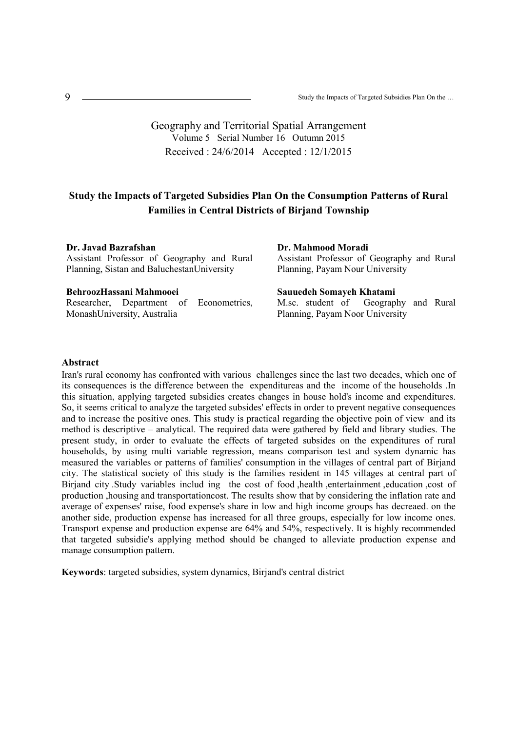### Geography and Territorial Spatial Arrangement Volume 5 Serial Number 16 Outumn 2015 Received : 24/6/2014 Accepted : 12/1/2015

## **Study the Impacts of Targeted Subsidies Plan On the Consumption Patterns of Rural Families in Central Districts of Birjand Township**

**Dr. Javad Bazrafshan** 

Assistant Professor of Geography and Rural Planning, Sistan and BaluchestanUniversity

#### **BehroozHassani Mahmooei**

Researcher, Department of Econometrics, MonashUniversity, Australia

# **Dr. Mahmood Moradi**

Assistant Professor of Geography and Rural Planning, Payam Nour University

### **Sauuedeh Somayeh Khatami**

M.sc. student of Geography and Rural Planning, Payam Noor University

### **Abstract**

Iran's rural economy has confronted with various challenges since the last two decades, which one of its consequences is the difference between the expenditureas and the income of the households .In this situation, applying targeted subsidies creates changes in house hold's income and expenditures. So, it seems critical to analyze the targeted subsides' effects in order to prevent negative consequences and to increase the positive ones. This study is practical regarding the objective poin of view and its method is descriptive – analytical. The required data were gathered by field and library studies. The present study, in order to evaluate the effects of targeted subsides on the expenditures of rural households, by using multi variable regression, means comparison test and system dynamic has measured the variables or patterns of families' consumption in the villages of central part of Birjand city. The statistical society of this study is the families resident in 145 villages at central part of Birjand city .Study variables includ ing the cost of food ,health ,entertainment ,education ,cost of production ,housing and transportationcost. The results show that by considering the inflation rate and average of expenses' raise, food expense's share in low and high income groups has decreaed. on the another side, production expense has increased for all three groups, especially for low income ones. Transport expense and production expense are 64% and 54%, respectively. It is highly recommended that targeted subsidie's applying method should be changed to alleviate production expense and manage consumption pattern.

**Keywords**: targeted subsidies, system dynamics, Birjand's central district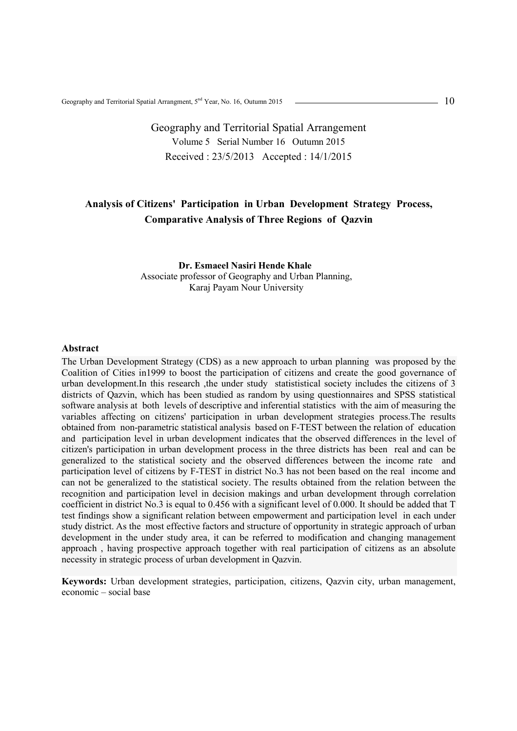# Geography and Territorial Spatial Arrangement Volume 5 Serial Number 16 Outumn 2015 Received : 23/5/2013 Accepted : 14/1/2015

# **Analysis of Citizens' Participation in Urban Development Strategy Process, Comparative Analysis of Three Regions of Qazvin**

### **Dr. Esmaeel Nasiri Hende Khale** Associate professor of Geography and Urban Planning, Karaj Payam Nour University

#### **Abstract**

The Urban Development Strategy (CDS) as a new approach to urban planning was proposed by the Coalition of Cities in1999 to boost the participation of citizens and create the good governance of urban development.In this research ,the under study statististical society includes the citizens of 3 districts of Qazvin, which has been studied as random by using questionnaires and SPSS statistical software analysis at both levels of descriptive and inferential statistics with the aim of measuring the variables affecting on citizens' participation in urban development strategies process.The results obtained from non-parametric statistical analysis based on F-TEST between the relation of education and participation level in urban development indicates that the observed differences in the level of citizen's participation in urban development process in the three districts has been real and can be generalized to the statistical society and the observed differences between the income rate and participation level of citizens by F-TEST in district No.3 has not been based on the real income and can not be generalized to the statistical society. The results obtained from the relation between the recognition and participation level in decision makings and urban development through correlation coefficient in district No.3 is equal to 0.456 with a significant level of 0.000. It should be added that T test findings show a significant relation between empowerment and participation level in each under study district. As the most effective factors and structure of opportunity in strategic approach of urban development in the under study area, it can be referred to modification and changing management approach , having prospective approach together with real participation of citizens as an absolute necessity in strategic process of urban development in Qazvin.

**Keywords:** Urban development strategies, participation, citizens, Qazvin city, urban management, economic – social base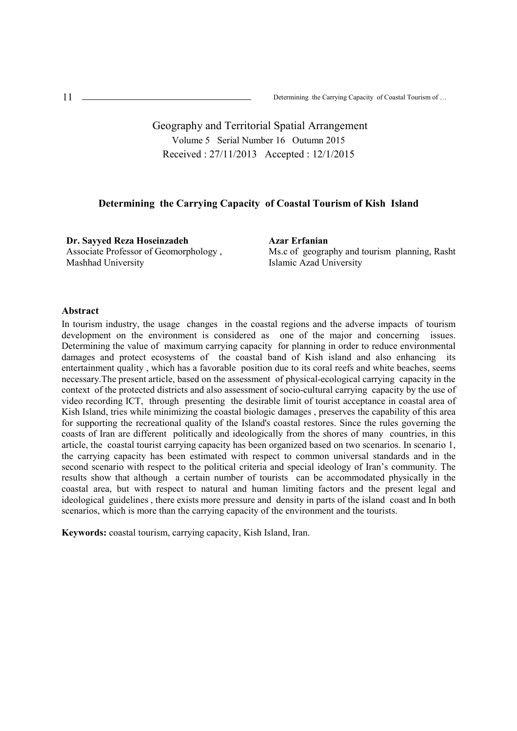Geography and Territorial Spatial Arrangement Volume 5 Serial Number 16 Outumn 2015 Received : 27/11/2013 Accepted : 12/1/2015

### **Determining the Carrying Capacity of Coastal Tourism of Kish Island**

**Dr. Sayyed Reza Hoseinzadeh**  Associate Professor of Geomorphology , Mashhad University

**Azar Erfanian**  Ms.c of geography and tourism planning, Rasht Islamic Azad University

### **Abstract**

In tourism industry, the usage changes in the coastal regions and the adverse impacts of tourism development on the environment is considered as one of the major and concerning issues. Determining the value of maximum carrying capacity for planning in order to reduce environmental damages and protect ecosystems of the coastal band of Kish island and also enhancing its entertainment quality , which has a favorable position due to its coral reefs and white beaches, seems necessary.The present article, based on the assessment of physical-ecological carrying capacity in the context of the protected districts and also assessment of socio-cultural carrying capacity by the use of video recording ICT, through presenting the desirable limit of tourist acceptance in coastal area of Kish Island, tries while minimizing the coastal biologic damages , preserves the capability of this area for supporting the recreational quality of the Island's coastal restores. Since the rules governing the coasts of Iran are different politically and ideologically from the shores of many countries, in this article, the coastal tourist carrying capacity has been organized based on two scenarios. In scenario 1, the carrying capacity has been estimated with respect to common universal standards and in the second scenario with respect to the political criteria and special ideology of Iran's community. The results show that although a certain number of tourists can be accommodated physically in the coastal area, but with respect to natural and human limiting factors and the present legal and ideological guidelines , there exists more pressure and density in parts of the island coast and In both scenarios, which is more than the carrying capacity of the environment and the tourists.

**Keywords:** coastal tourism, carrying capacity, Kish Island, Iran.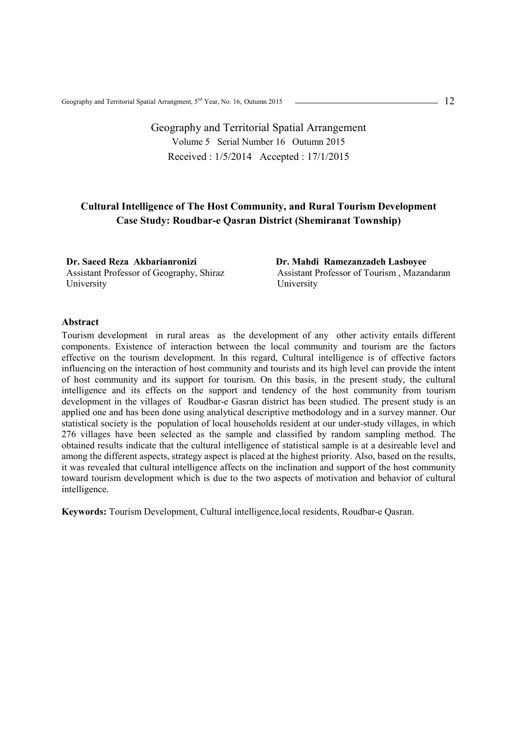# Geography and Territorial Spatial Arrangement Volume 5 Serial Number 16 Outumn 2015 Received : 1/5/2014 Accepted : 17/1/2015

## **Cultural Intelligence of The Host Community, and Rural Tourism Development Case Study: Roudbar-e Qasran District (Shemiranat Township)**

**Dr. Saeed Reza Akbarianronizi**  Assistant Professor of Geography, Shiraz University

**Dr. Mahdi Ramezanzadeh Lasboyee**  Assistant Professor of Tourism , Mazandaran University

### **Abstract**

Tourism development in rural areas as the development of any other activity entails different components. Existence of interaction between the local community and tourism are the factors effective on the tourism development. In this regard, Cultural intelligence is of effective factors influencing on the interaction of host community and tourists and its high level can provide the intent of host community and its support for tourism. On this basis, in the present study, the cultural intelligence and its effects on the support and tendency of the host community from tourism development in the villages of Roudbar-e Gasran district has been studied. The present study is an applied one and has been done using analytical descriptive methodology and in a survey manner. Our statistical society is the population of local households resident at our under-study villages, in which 276 villages have been selected as the sample and classified by random sampling method. The obtained results indicate that the cultural intelligence of statistical sample is at a desireable level and among the different aspects, strategy aspect is placed at the highest priority. Also, based on the results, it was revealed that cultural intelligence affects on the inclination and support of the host community toward tourism development which is due to the two aspects of motivation and behavior of cultural intelligence.

**Keywords:** Tourism Development, Cultural intelligence,local residents, Roudbar-e Qasran.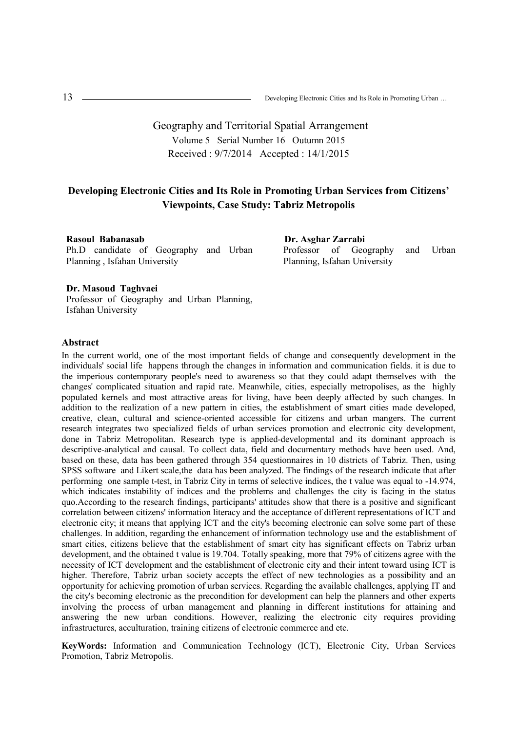# Geography and Territorial Spatial Arrangement Volume 5 Serial Number 16 Outumn 2015 Received : 9/7/2014 Accepted : 14/1/2015

## **Developing Electronic Cities and Its Role in Promoting Urban Services from Citizens' Viewpoints, Case Study: Tabriz Metropolis**

**Rasoul Babanasab**  Ph.D candidate of Geography and Urban Planning , Isfahan University

**Dr. Asghar Zarrabi**  Professor of Geography and Urban Planning, Isfahan University

#### **Dr. Masoud Taghvaei**

Professor of Geography and Urban Planning, Isfahan University

#### **Abstract**

In the current world, one of the most important fields of change and consequently development in the individuals' social life happens through the changes in information and communication fields. it is due to the imperious contemporary people's need to awareness so that they could adapt themselves with the changes' complicated situation and rapid rate. Meanwhile, cities, especially metropolises, as the highly populated kernels and most attractive areas for living, have been deeply affected by such changes. In addition to the realization of a new pattern in cities, the establishment of smart cities made developed, creative, clean, cultural and science-oriented accessible for citizens and urban mangers. The current research integrates two specialized fields of urban services promotion and electronic city development, done in Tabriz Metropolitan. Research type is applied-developmental and its dominant approach is descriptive-analytical and causal. To collect data, field and documentary methods have been used. And, based on these, data has been gathered through 354 questionnaires in 10 districts of Tabriz. Then, using SPSS software and Likert scale,the data has been analyzed. The findings of the research indicate that after performing one sample t-test, in Tabriz City in terms of selective indices, the t value was equal to -14.974, which indicates instability of indices and the problems and challenges the city is facing in the status quo.According to the research findings, participants' attitudes show that there is a positive and significant correlation between citizens' information literacy and the acceptance of different representations of ICT and electronic city; it means that applying ICT and the city's becoming electronic can solve some part of these challenges. In addition, regarding the enhancement of information technology use and the establishment of smart cities, citizens believe that the establishment of smart city has significant effects on Tabriz urban development, and the obtained t value is 19.704. Totally speaking, more that 79% of citizens agree with the necessity of ICT development and the establishment of electronic city and their intent toward using ICT is higher. Therefore, Tabriz urban society accepts the effect of new technologies as a possibility and an opportunity for achieving promotion of urban services. Regarding the available challenges, applying IT and the city's becoming electronic as the precondition for development can help the planners and other experts involving the process of urban management and planning in different institutions for attaining and answering the new urban conditions. However, realizing the electronic city requires providing infrastructures, acculturation, training citizens of electronic commerce and etc.

**KeyWords:** Information and Communication Technology (ICT), Electronic City, Urban Services Promotion, Tabriz Metropolis.